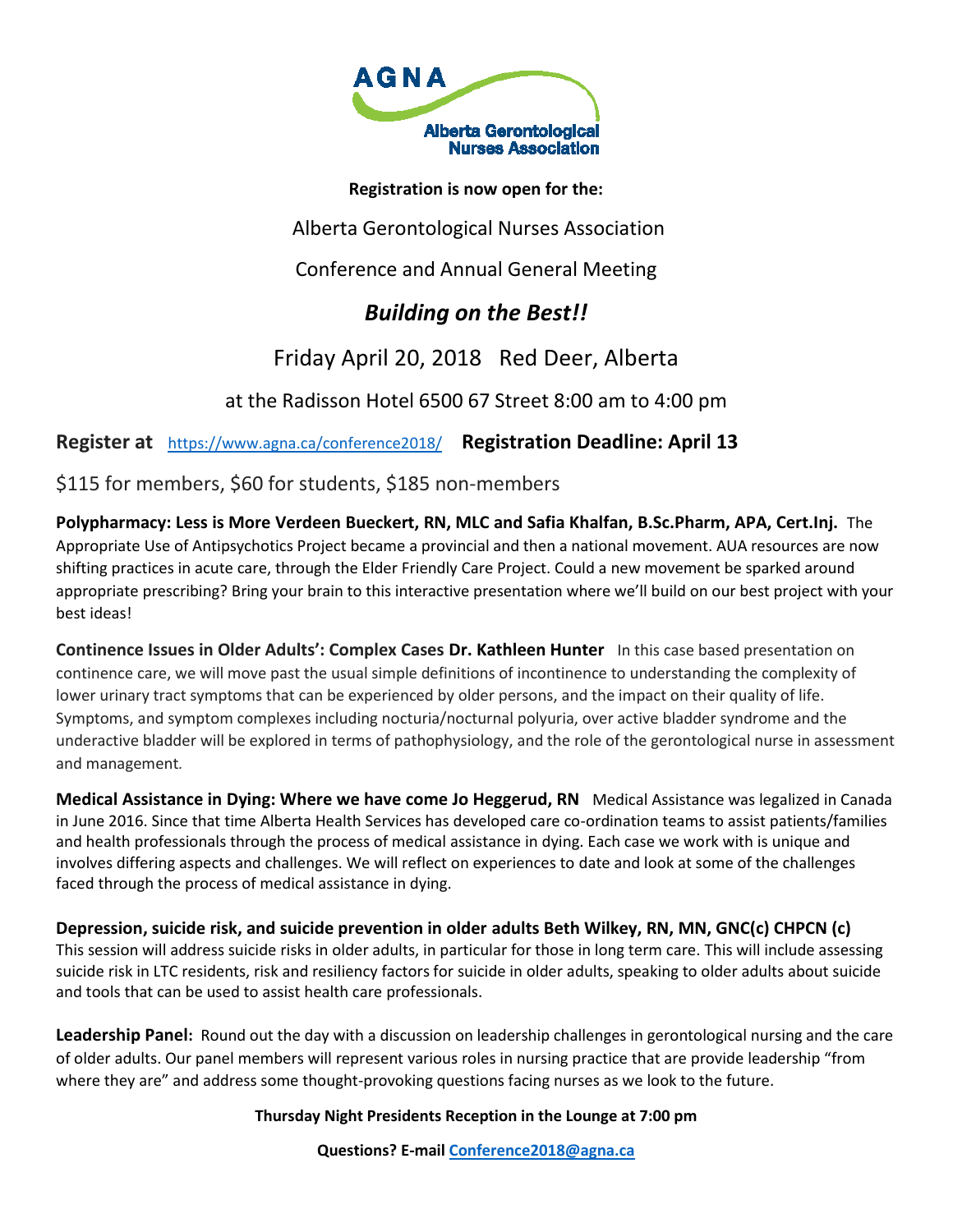

**Registration is now open for the:**

Alberta Gerontological Nurses Association

Conference and Annual General Meeting

# *Building on the Best!!*

Friday April 20, 2018 Red Deer, Alberta

at the Radisson Hotel 6500 67 Street 8:00 am to 4:00 pm

**Register at** <https://www.agna.ca/conference2018/>**Registration Deadline: April 13** 

\$115 for members, \$60 for students, \$185 non-members

**Polypharmacy: Less is More Verdeen Bueckert, RN, MLC and Safia Khalfan, B.Sc.Pharm, APA, Cert.Inj.** The Appropriate Use of Antipsychotics Project became a provincial and then a national movement. AUA resources are now shifting practices in acute care, through the Elder Friendly Care Project. Could a new movement be sparked around appropriate prescribing? Bring your brain to this interactive presentation where we'll build on our best project with your best ideas!

**Continence Issues in Older Adults': Complex Cases Dr. Kathleen Hunter** In this case based presentation on continence care, we will move past the usual simple definitions of incontinence to understanding the complexity of lower urinary tract symptoms that can be experienced by older persons, and the impact on their quality of life. Symptoms, and symptom complexes including nocturia/nocturnal polyuria, over active bladder syndrome and the underactive bladder will be explored in terms of pathophysiology, and the role of the gerontological nurse in assessment and management*.*

**Medical Assistance in Dying: Where we have come Jo Heggerud, RN** Medical Assistance was legalized in Canada in June 2016. Since that time Alberta Health Services has developed care co-ordination teams to assist patients/families and health professionals through the process of medical assistance in dying. Each case we work with is unique and involves differing aspects and challenges. We will reflect on experiences to date and look at some of the challenges faced through the process of medical assistance in dying.

**Depression, suicide risk, and suicide prevention in older adults Beth Wilkey, RN, MN, GNC(c) CHPCN (c)**  This session will address suicide risks in older adults, in particular for those in long term care. This will include assessing suicide risk in LTC residents, risk and resiliency factors for suicide in older adults, speaking to older adults about suicide and tools that can be used to assist health care professionals.

**Leadership Panel:** Round out the day with a discussion on leadership challenges in gerontological nursing and the care of older adults. Our panel members will represent various roles in nursing practice that are provide leadership "from where they are" and address some thought-provoking questions facing nurses as we look to the future.

**Thursday Night Presidents Reception in the Lounge at 7:00 pm** 

**Questions? E-mai[l Conference2018@agna.ca](mailto:Conference2018@agna.ca)**